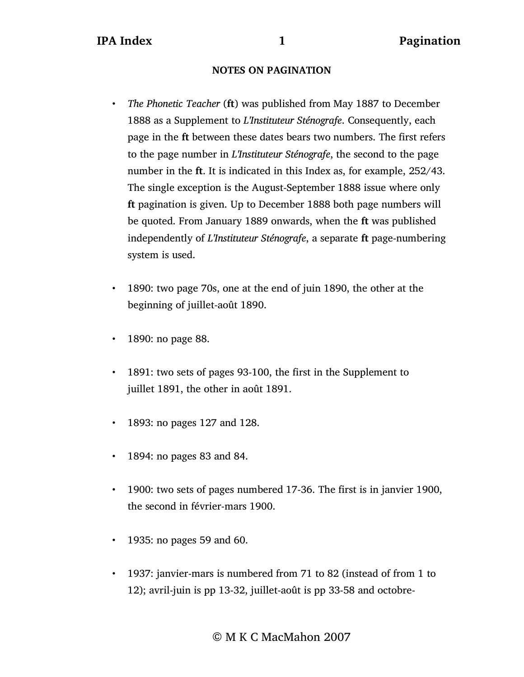## **NOTES ON PAGINATION**

- *• The Phonetic Teacher* (**ft**) was published from May 1887 to December 1888 as a Supplement to *L'Instituteur Sténografe*. Consequently, each page in the **ft** between these dates bears two numbers. The first refers to the page number in *L'Instituteur Sténografe*, the second to the page number in the **ft**. It is indicated in this Index as, for example, 252/43. The single exception is the August-September 1888 issue where only **ft** pagination is given. Up to December 1888 both page numbers will be quoted. From January 1889 onwards, when the **ft** was published independently of *L'Instituteur Sténografe*, a separate **ft** page-numbering system is used.
- 1890: two page 70s, one at the end of juin 1890, the other at the beginning of juillet-août 1890.
- 1890: no page 88.
- 1891: two sets of pages 93-100, the first in the Supplement to juillet 1891, the other in août 1891.
- 1893: no pages 127 and 128.
- 1894: no pages 83 and 84.
- 1900: two sets of pages numbered 17-36. The first is in janvier 1900, the second in février-mars 1900.
- 1935: no pages 59 and 60.
- 1937: janvier-mars is numbered from 71 to 82 (instead of from 1 to 12); avril-juin is pp 13-32, juillet-août is pp 33-58 and octobre-

© M K C MacMahon 2007